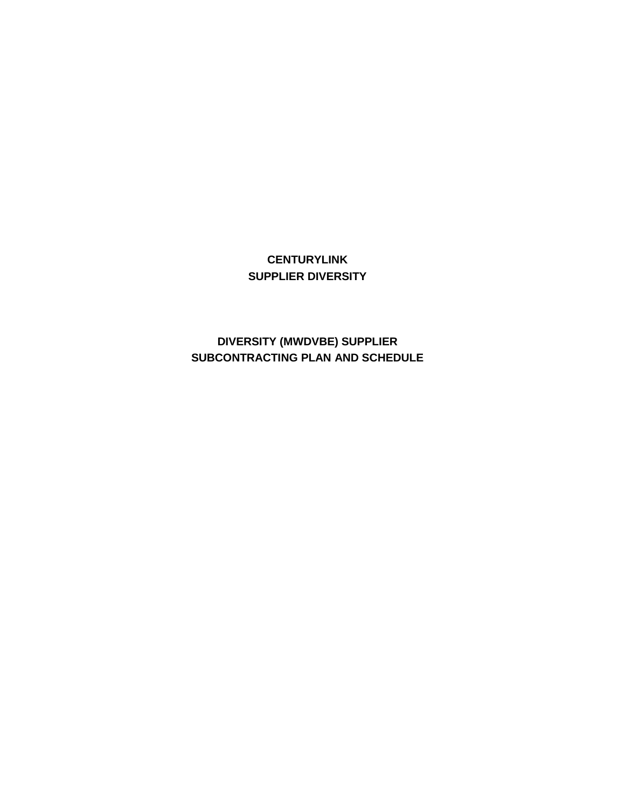# **CENTURYLINK SUPPLIER DIVERSITY**

**DIVERSITY (MWDVBE) SUPPLIER SUBCONTRACTING PLAN AND SCHEDULE**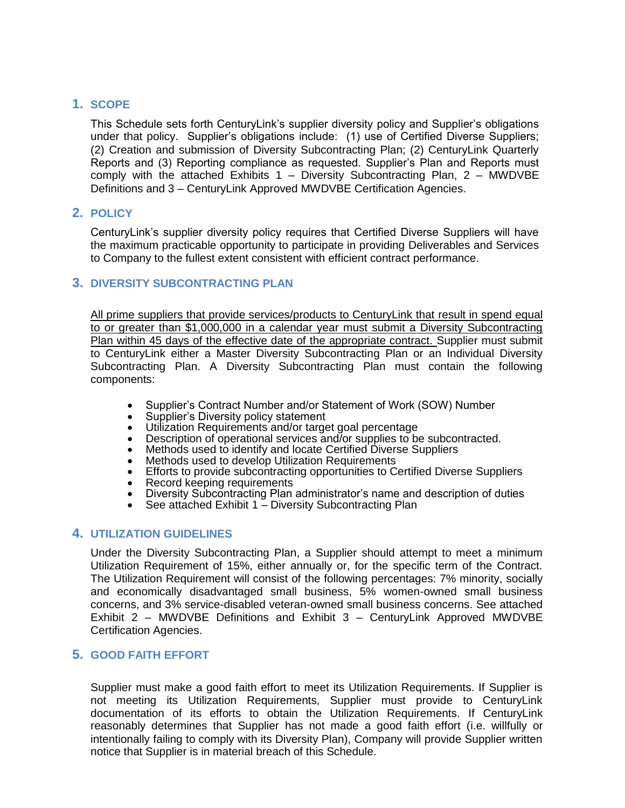# **1. SCOPE**

This Schedule sets forth CenturyLink's supplier diversity policy and Supplier's obligations under that policy. Supplier's obligations include: (1) use of Certified Diverse Suppliers; (2) Creation and submission of Diversity Subcontracting Plan; (2) CenturyLink Quarterly Reports and (3) Reporting compliance as requested. Supplier's Plan and Reports must comply with the attached Exhibits  $1 -$  Diversity Subcontracting Plan,  $2 -$  MWDVBE Definitions and 3 – CenturyLink Approved MWDVBE Certification Agencies.

# **2. POLICY**

CenturyLink's supplier diversity policy requires that Certified Diverse Suppliers will have the maximum practicable opportunity to participate in providing Deliverables and Services to Company to the fullest extent consistent with efficient contract performance.

# **3. DIVERSITY SUBCONTRACTING PLAN**

All prime suppliers that provide services/products to CenturyLink that result in spend equal to or greater than \$1,000,000 in a calendar year must submit a Diversity Subcontracting Plan within 45 days of the effective date of the appropriate contract. Supplier must submit to CenturyLink either a Master Diversity Subcontracting Plan or an Individual Diversity Subcontracting Plan. A Diversity Subcontracting Plan must contain the following components:

- Supplier's Contract Number and/or Statement of Work (SOW) Number
- Supplier's Diversity policy statement
- Utilization Requirements and/or target goal percentage
- Description of operational services and/or supplies to be subcontracted.
- Methods used to identify and locate Certified Diverse Suppliers
- Methods used to develop Utilization Requirements
- Efforts to provide subcontracting opportunities to Certified Diverse Suppliers
- Record keeping requirements
- Diversity Subcontracting Plan administrator's name and description of duties
- See attached Exhibit  $1 -$  Diversity Subcontracting Plan

# **4. UTILIZATION GUIDELINES**

Under the Diversity Subcontracting Plan, a Supplier should attempt to meet a minimum Utilization Requirement of 15%, either annually or, for the specific term of the Contract. The Utilization Requirement will consist of the following percentages: 7% minority, socially and economically disadvantaged small business, 5% women-owned small business concerns, and 3% service-disabled veteran-owned small business concerns. See attached Exhibit 2 – MWDVBE Definitions and Exhibit 3 – CenturyLink Approved MWDVBE Certification Agencies.

# **5. GOOD FAITH EFFORT**

Supplier must make a good faith effort to meet its Utilization Requirements. If Supplier is not meeting its Utilization Requirements, Supplier must provide to CenturyLink documentation of its efforts to obtain the Utilization Requirements. If CenturyLink reasonably determines that Supplier has not made a good faith effort (i.e. willfully or intentionally failing to comply with its Diversity Plan), Company will provide Supplier written notice that Supplier is in material breach of this Schedule.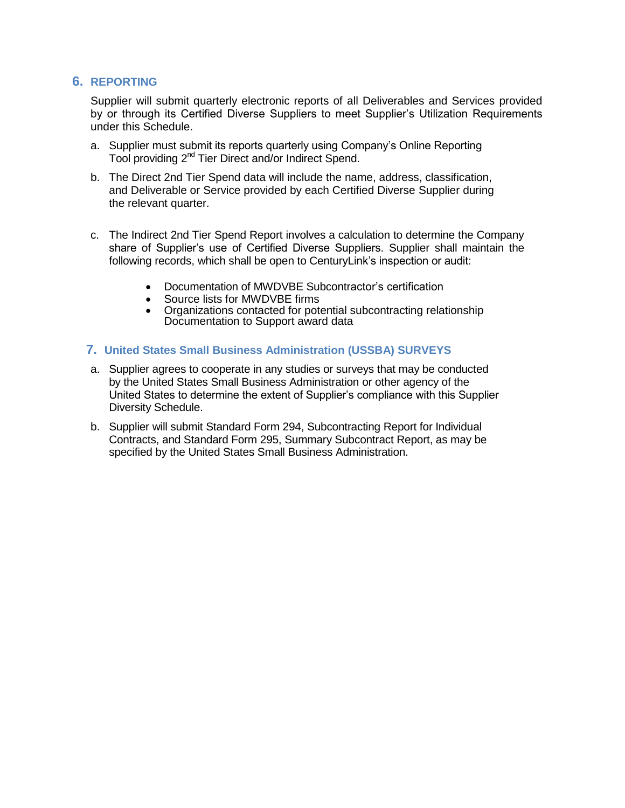# **6. REPORTING**

Supplier will submit quarterly electronic reports of all Deliverables and Services provided by or through its Certified Diverse Suppliers to meet Supplier's Utilization Requirements under this Schedule.

- a. Supplier must submit its reports quarterly using Company's Online Reporting Tool providing 2nd Tier Direct and/or Indirect Spend.
- b. The Direct 2nd Tier Spend data will include the name, address, classification, and Deliverable or Service provided by each Certified Diverse Supplier during the relevant quarter.
- c. The Indirect 2nd Tier Spend Report involves a calculation to determine the Company share of Supplier's use of Certified Diverse Suppliers. Supplier shall maintain the following records, which shall be open to CenturyLink's inspection or audit:
	- Documentation of MWDVBE Subcontractor's certification
	- Source lists for MWDVBE firms
	- Organizations contacted for potential subcontracting relationship Documentation to Support award data

#### **7. United States Small Business Administration (USSBA) SURVEYS**

- a. Supplier agrees to cooperate in any studies or surveys that may be conducted by the United States Small Business Administration or other agency of the United States to determine the extent of Supplier's compliance with this Supplier Diversity Schedule.
- b. Supplier will submit Standard Form 294, Subcontracting Report for Individual Contracts, and Standard Form 295, Summary Subcontract Report, as may be specified by the United States Small Business Administration.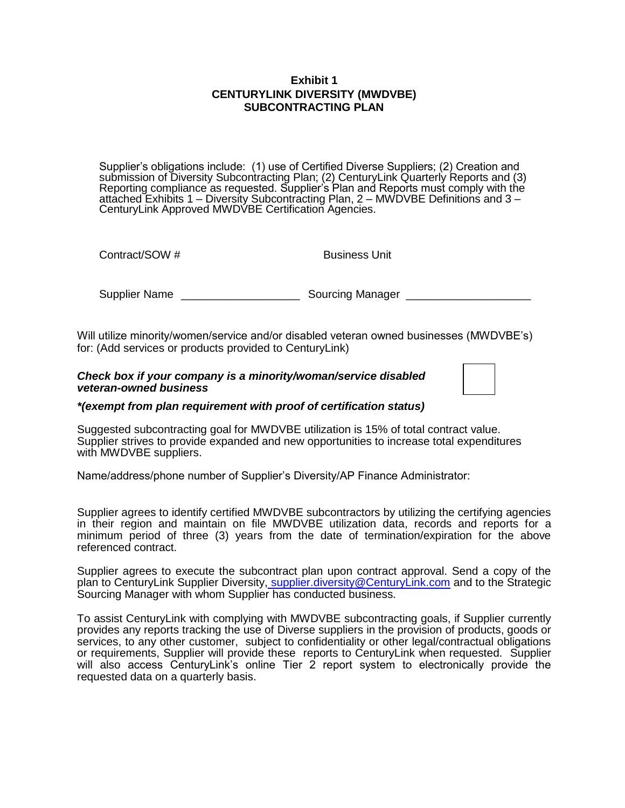### **Exhibit 1 CENTURYLINK DIVERSITY (MWDVBE) SUBCONTRACTING PLAN**

Supplier's obligations include: (1) use of Certified Diverse Suppliers; (2) Creation and submission of Diversity Subcontracting Plan; (2) CenturyLink Quarterly Reports and (3) Reporting compliance as requested. Supplier's Plan and Reports must comply with the attached Exhibits 1 – Diversity Subcontracting Plan, 2 – MWDVBE Definitions and 3 – CenturyLink Approved MWDVBE Certification Agencies.

Contract/SOW # Business Unit

Supplier Name \_\_\_\_\_\_\_\_\_\_\_\_\_\_\_\_\_\_\_\_\_\_\_\_\_\_\_\_ Sourcing Manager \_\_\_\_\_\_\_\_\_\_\_\_\_\_\_\_\_\_\_\_

Will utilize minority/women/service and/or disabled veteran owned businesses (MWDVBE's) for: (Add services or products provided to CenturyLink)

#### *Check box if your company is a minority/woman/service disabled veteran-owned business*

#### *\*(exempt from plan requirement with proof of certification status)*

Suggested subcontracting goal for MWDVBE utilization is 15% of total contract value. Supplier strives to provide expanded and new opportunities to increase total expenditures with MWDVBE suppliers.

Name/address/phone number of Supplier's Diversity/AP Finance Administrator:

Supplier agrees to identify certified MWDVBE subcontractors by utilizing the certifying agencies in their region and maintain on file MWDVBE utilization data, records and reports for a minimum period of three (3) years from the date of termination/expiration for the above referenced contract.

Supplier agrees to execute the subcontract plan upon contract approval. Send a copy of the plan to CenturyLink Supplier Diversity, supplier diversity@CenturyLink.com and to the Strategic Sourcing Manager with whom Supplier has conducted business.

To assist CenturyLink with complying with MWDVBE subcontracting goals, if Supplier currently provides any reports tracking the use of Diverse suppliers in the provision of products, goods or services, to any other customer, subject to confidentiality or other legal/contractual obligations or requirements, Supplier will provide these reports to CenturyLink when requested. Supplier will also access CenturyLink's online Tier 2 report system to electronically provide the requested data on a quarterly basis.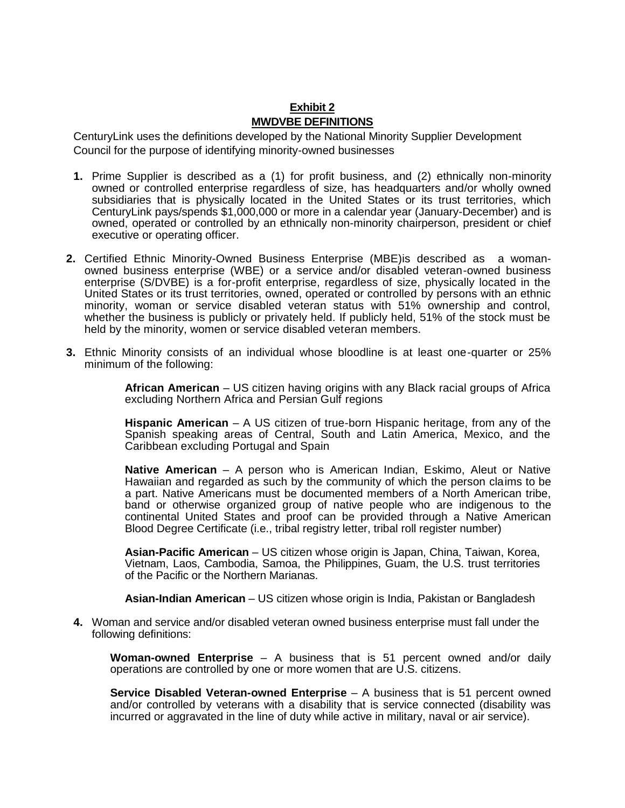# **Exhibit 2 MWDVBE DEFINITIONS**

CenturyLink uses the definitions developed by the National Minority Supplier Development Council for the purpose of identifying minority-owned businesses

- **1.** Prime Supplier is described as a (1) for profit business, and (2) ethnically non-minority owned or controlled enterprise regardless of size, has headquarters and/or wholly owned subsidiaries that is physically located in the United States or its trust territories, which CenturyLink pays/spends \$1,000,000 or more in a calendar year (January-December) and is owned, operated or controlled by an ethnically non-minority chairperson, president or chief executive or operating officer.
- **2.** Certified Ethnic Minority-Owned Business Enterprise (MBE)is described as a womanowned business enterprise (WBE) or a service and/or disabled veteran-owned business enterprise (S/DVBE) is a for-profit enterprise, regardless of size, physically located in the United States or its trust territories, owned, operated or controlled by persons with an ethnic minority, woman or service disabled veteran status with 51% ownership and control, whether the business is publicly or privately held. If publicly held, 51% of the stock must be held by the minority, women or service disabled veteran members.
- **3.** Ethnic Minority consists of an individual whose bloodline is at least one-quarter or 25% minimum of the following:

**African American** – US citizen having origins with any Black racial groups of Africa excluding Northern Africa and Persian Gulf regions

**Hispanic American** – A US citizen of true-born Hispanic heritage, from any of the Spanish speaking areas of Central, South and Latin America, Mexico, and the Caribbean excluding Portugal and Spain

**Native American** – A person who is American Indian, Eskimo, Aleut or Native Hawaiian and regarded as such by the community of which the person claims to be a part. Native Americans must be documented members of a North American tribe, band or otherwise organized group of native people who are indigenous to the continental United States and proof can be provided through a Native American Blood Degree Certificate (i.e., tribal registry letter, tribal roll register number)

**Asian-Pacific American** – US citizen whose origin is Japan, China, Taiwan, Korea, Vietnam, Laos, Cambodia, Samoa, the Philippines, Guam, the U.S. trust territories of the Pacific or the Northern Marianas.

**Asian-Indian American** – US citizen whose origin is India, Pakistan or Bangladesh

**4.** Woman and service and/or disabled veteran owned business enterprise must fall under the following definitions:

**Woman-owned Enterprise** – A business that is 51 percent owned and/or daily operations are controlled by one or more women that are U.S. citizens.

**Service Disabled Veteran-owned Enterprise** – A business that is 51 percent owned and/or controlled by veterans with a disability that is service connected (disability was incurred or aggravated in the line of duty while active in military, naval or air service).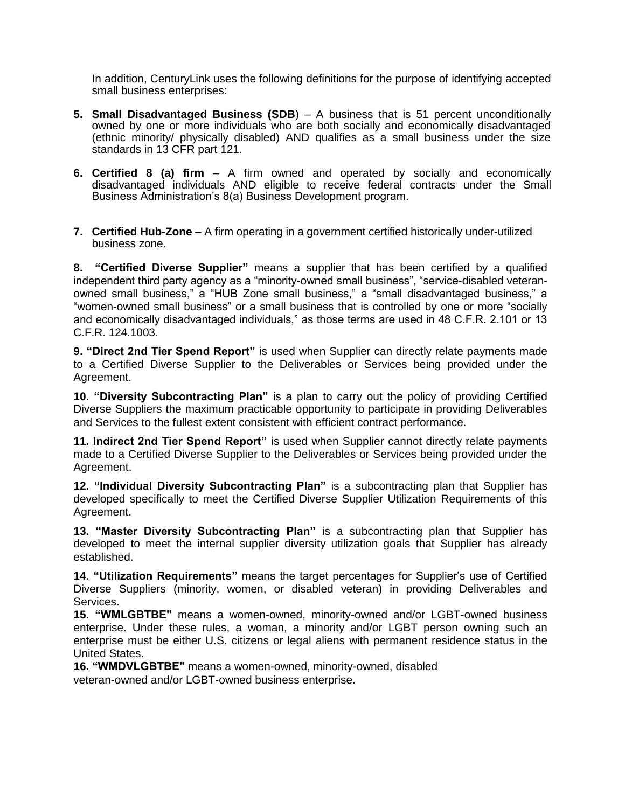In addition, CenturyLink uses the following definitions for the purpose of identifying accepted small business enterprises:

- **5. Small Disadvantaged Business (SDB**) A business that is 51 percent unconditionally owned by one or more individuals who are both socially and economically disadvantaged (ethnic minority/ physically disabled) AND qualifies as a small business under the size standards in 13 CFR part 121.
- **6. Certified 8 (a) firm**  A firm owned and operated by socially and economically disadvantaged individuals AND eligible to receive federal contracts under the Small Business Administration's 8(a) Business Development program.
- **7. Certified Hub-Zone** A firm operating in a government certified historically under-utilized business zone.

**8. "Certified Diverse Supplier"** means a supplier that has been certified by a qualified independent third party agency as a "minority-owned small business", "service-disabled veteranowned small business," a "HUB Zone small business," a "small disadvantaged business," a "women-owned small business" or a small business that is controlled by one or more "socially and economically disadvantaged individuals," as those terms are used in 48 C.F.R. 2.101 or 13 C.F.R. 124.1003.

**9. "Direct 2nd Tier Spend Report"** is used when Supplier can directly relate payments made to a Certified Diverse Supplier to the Deliverables or Services being provided under the Agreement.

**10. "Diversity Subcontracting Plan"** is a plan to carry out the policy of providing Certified Diverse Suppliers the maximum practicable opportunity to participate in providing Deliverables and Services to the fullest extent consistent with efficient contract performance.

**11. Indirect 2nd Tier Spend Report"** is used when Supplier cannot directly relate payments made to a Certified Diverse Supplier to the Deliverables or Services being provided under the Agreement.

**12. "Individual Diversity Subcontracting Plan"** is a subcontracting plan that Supplier has developed specifically to meet the Certified Diverse Supplier Utilization Requirements of this Agreement.

**13. "Master Diversity Subcontracting Plan"** is a subcontracting plan that Supplier has developed to meet the internal supplier diversity utilization goals that Supplier has already established.

**14. "Utilization Requirements"** means the target percentages for Supplier's use of Certified Diverse Suppliers (minority, women, or disabled veteran) in providing Deliverables and Services.

**15. "WMLGBTBE"** means a women-owned, minority-owned and/or LGBT-owned business enterprise. Under these rules, a woman, a minority and/or LGBT person owning such an enterprise must be either U.S. citizens or legal aliens with permanent residence status in the United States.

**16. "WMDVLGBTBE"** means a women-owned, minority-owned, disabled veteran-owned and/or LGBT-owned business enterprise.